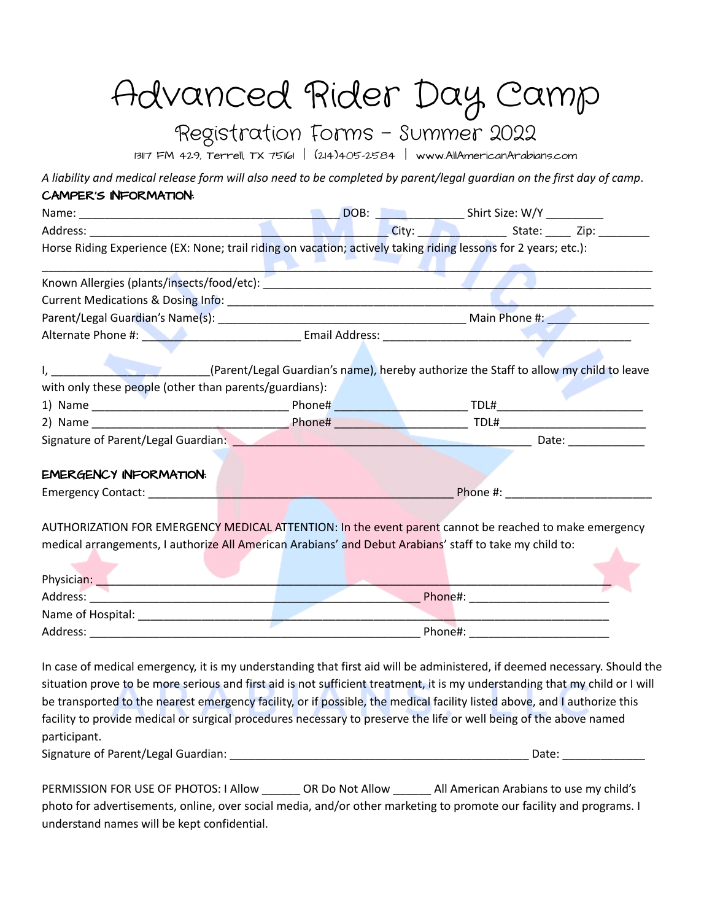## Advanced Rider Day Camp

#### Registration Forms - Summer 2022

13117 FM 429, Terrell, TX 75161 | (214)405-2584 | [www.AllAmericanArabians.com](http://www.allamericanarabians.com)

A liability and medical release form will also need to be completed by parent/legal guardian on the first day of camp. CAMPER'S INFORMATION:

| Horse Riding Experience (EX: None; trail riding on vacation; actively taking riding lessons for 2 years; etc.):                                                                                                   |  |  |  |  |
|-------------------------------------------------------------------------------------------------------------------------------------------------------------------------------------------------------------------|--|--|--|--|
|                                                                                                                                                                                                                   |  |  |  |  |
|                                                                                                                                                                                                                   |  |  |  |  |
|                                                                                                                                                                                                                   |  |  |  |  |
| Alternate Phone #: New York Communication Email Address: New York Communication Phone #:                                                                                                                          |  |  |  |  |
| I, _______________________________(Parent/Legal Guardian's name), hereby authorize the Staff to allow my child to leave                                                                                           |  |  |  |  |
| with only these people (other than parents/guardians):                                                                                                                                                            |  |  |  |  |
|                                                                                                                                                                                                                   |  |  |  |  |
|                                                                                                                                                                                                                   |  |  |  |  |
| Signature of Parent/Legal Guardian: New York Contract of Parents Contract of Parents Contract of Parents Contract O                                                                                               |  |  |  |  |
| <b>EMERGENCY INFORMATION:</b>                                                                                                                                                                                     |  |  |  |  |
|                                                                                                                                                                                                                   |  |  |  |  |
| AUTHORIZATION FOR EMERGENCY MEDICAL ATTENTION: In the event parent cannot be reached to make emergency<br>medical arrangements, I authorize All American Arabians' and Debut Arabians' staff to take my child to: |  |  |  |  |
|                                                                                                                                                                                                                   |  |  |  |  |
|                                                                                                                                                                                                                   |  |  |  |  |
|                                                                                                                                                                                                                   |  |  |  |  |
|                                                                                                                                                                                                                   |  |  |  |  |

In case of medical emergency, it is my understanding that first aid will be administered, if deemed necessary. Should the situation prove to be more serious and first aid is not sufficient treatment, it is my understanding that my child or I will be transported to the nearest emergency facility, or if possible, the medical facility listed above, and I authorize this facility to provide medical or surgical procedures necessary to preserve the life or well being of the above named participant.

Signature of Parent/Legal Guardian: \_\_\_\_\_\_\_\_\_\_\_\_\_\_\_\_\_\_\_\_\_\_\_\_\_\_\_\_\_\_\_\_\_\_\_\_\_\_\_\_\_\_\_\_\_\_\_ Date: \_\_\_\_\_\_\_\_\_\_\_\_\_

| PERMISSION FOR USE OF PHOTOS: I Allow                                                                               | OR Do Not Allow | All American Arabians to use my child's |
|---------------------------------------------------------------------------------------------------------------------|-----------------|-----------------------------------------|
| photo for advertisements, online, over social media, and/or other marketing to promote our facility and programs. I |                 |                                         |
| understand names will be kept confidential.                                                                         |                 |                                         |